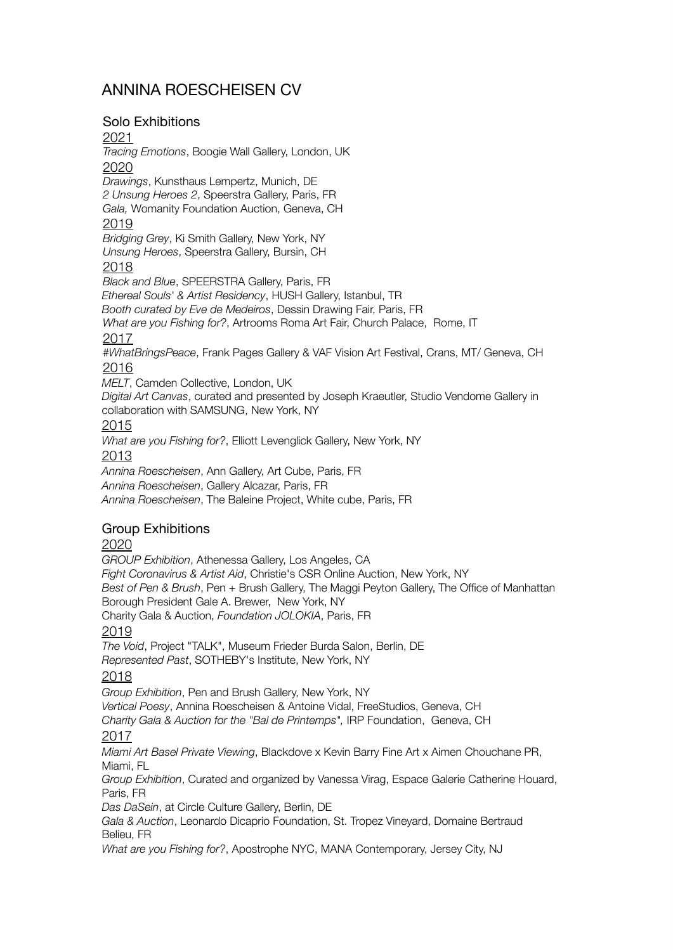# ANNINA ROESCHEISEN CV

### Solo Exhibitions

#### 2021

*Tracing Emotions*, Boogie Wall Gallery, London, UK

### 2020

*Drawings*, Kunsthaus Lempertz, Munich, DE *2 Unsung Heroes 2*, Speerstra Gallery, Paris, FR *Gala,* Womanity Foundation Auction, Geneva, CH

#### 2019

*Bridging Grey*, Ki Smith Gallery, New York, NY *Unsung Heroes*, Speerstra Gallery, Bursin, CH

#### 2018

*Black and Blue*, SPEERSTRA Gallery, Paris, FR

*Ethereal Souls' & Artist Residency*, HUSH Gallery, Istanbul, TR

*Booth curated by Eve de Medeiros*, Dessin Drawing Fair, Paris, FR

*What are you Fishing for?*, Artrooms Roma Art Fair, Church Palace, Rome, IT

### 2017

*#WhatBringsPeace*, Frank Pages Gallery & VAF Vision Art Festival, Crans, MT/ Geneva, CH

## 2016

*MELT*, Camden Collective, London, UK

*Digital Art Canvas*, curated and presented by Joseph Kraeutler, Studio Vendome Gallery in collaboration with SAMSUNG, New York, NY

#### 2015

*What are you Fishing for?*, Elliott Levenglick Gallery, New York, NY

# 2013

*Annina Roescheisen*, Ann Gallery, Art Cube, Paris, FR *Annina Roescheisen*, Gallery Alcazar, Paris, FR *Annina Roescheisen*, The Baleine Project, White cube, Paris, FR

### Group Exhibitions

### 2020

*GROUP Exhibition*, Athenessa Gallery, Los Angeles, CA *Fight Coronavirus & Artist Aid*, Christie's CSR Online Auction, New York, NY *Best of Pen & Brush*, Pen + Brush Gallery, The Maggi Peyton Gallery, The Office of Manhattan Borough President Gale A. Brewer, New York, NY

Charity Gala & Auction, *Foundation JOLOKIA*, Paris, FR 2019

*The Void*, Project "TALK", Museum Frieder Burda Salon, Berlin, DE *Represented Past*, SOTHEBY's Institute, New York, NY

### 2018

*Group Exhibition*, Pen and Brush Gallery, New York, NY *Vertical Poesy*, Annina Roescheisen & Antoine Vidal, FreeStudios, Geneva, CH *Charity Gala & Auction for the "Bal de Printemps",* IRP Foundation, Geneva, CH 2017 *Miami Art Basel Private Viewing*, Blackdove x Kevin Barry Fine Art x Aimen Chouchane PR, Miami, FL *Group Exhibition*, Curated and organized by Vanessa Virag, Espace Galerie Catherine Houard, Paris, FR

*Das DaSein*, at Circle Culture Gallery, Berlin, DE

*Gala & Auction*, Leonardo Dicaprio Foundation, St. Tropez Vineyard, Domaine Bertraud Belieu, FR

*What are you Fishing for?*, Apostrophe NYC, MANA Contemporary, Jersey City, NJ